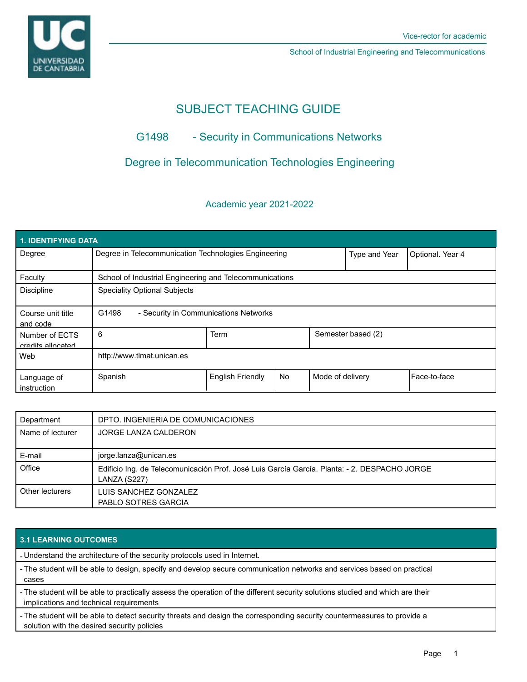

School of Industrial Engineering and Telecommunications

# SUBJECT TEACHING GUIDE

# G1498 - Security in Communications Networks

# Degree in Telecommunication Technologies Engineering

## Academic year 2021-2022

| 1. IDENTIFYING DATA                 |                                                         |                         |           |                    |                  |              |  |  |  |
|-------------------------------------|---------------------------------------------------------|-------------------------|-----------|--------------------|------------------|--------------|--|--|--|
| Degree                              | Degree in Telecommunication Technologies Engineering    |                         |           | Type and Year      | Optional. Year 4 |              |  |  |  |
| Faculty                             | School of Industrial Engineering and Telecommunications |                         |           |                    |                  |              |  |  |  |
| <b>Discipline</b>                   | <b>Speciality Optional Subjects</b>                     |                         |           |                    |                  |              |  |  |  |
| Course unit title<br>and code       | G1498<br>- Security in Communications Networks          |                         |           |                    |                  |              |  |  |  |
| Number of ECTS<br>credits allocated | 6                                                       | Term                    |           | Semester based (2) |                  |              |  |  |  |
| Web                                 | http://www.tlmat.unican.es                              |                         |           |                    |                  |              |  |  |  |
| Language of<br>instruction          | Spanish                                                 | <b>English Friendly</b> | <b>No</b> | Mode of delivery   |                  | Face-to-face |  |  |  |

| Department       | DPTO. INGENIERIA DE COMUNICACIONES                                                                           |  |  |
|------------------|--------------------------------------------------------------------------------------------------------------|--|--|
| Name of lecturer | JORGE LANZA CALDERON                                                                                         |  |  |
| E-mail           | jorge.lanza@unican.es                                                                                        |  |  |
| Office           | Edificio Ing. de Telecomunicación Prof. José Luis García García. Planta: - 2. DESPACHO JORGE<br>LANZA (S227) |  |  |
| Other lecturers  | LUIS SANCHEZ GONZALEZ<br>PABLO SOTRES GARCIA                                                                 |  |  |

## **3.1 LEARNING OUTCOMES**

- Understand the architecture of the security protocols used in Internet.

- The student will be able to design, specify and develop secure communication networks and services based on practical cases

- The student will be able to practically assess the operation of the different security solutions studied and which are their implications and technical requirements

- The student will be able to detect security threats and design the corresponding security countermeasures to provide a solution with the desired security policies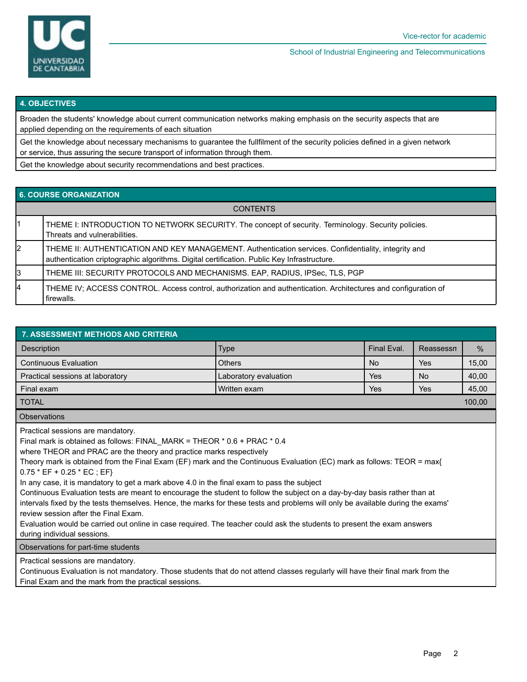

School of Industrial Engineering and Telecommunications

#### **4. OBJECTIVES**

Broaden the students' knowledge about current communication networks making emphasis on the security aspects that are applied depending on the requirements of each situation

Get the knowledge about necessary mechanisms to guarantee the fullfilment of the security policies defined in a given network or service, thus assuring the secure transport of information through them.

Get the knowledge about security recommendations and best practices.

### **6. COURSE ORGANIZATION**

| <b>CONTENTS</b> |                                                                                                                                                                                                    |  |  |  |
|-----------------|----------------------------------------------------------------------------------------------------------------------------------------------------------------------------------------------------|--|--|--|
|                 | THEME I: INTRODUCTION TO NETWORK SECURITY. The concept of security. Terminology. Security policies.<br>Threats and vulnerabilities.                                                                |  |  |  |
| 2               | THEME II: AUTHENTICATION AND KEY MANAGEMENT. Authentication services. Confidentiality, integrity and<br>authentication criptographic algorithms. Digital certification. Public Key Infrastructure. |  |  |  |
| 3               | THEME III: SECURITY PROTOCOLS AND MECHANISMS. EAP, RADIUS, IPSec, TLS, PGP                                                                                                                         |  |  |  |
| 4               | THEME IV; ACCESS CONTROL. Access control, authorization and authentication. Architectures and configuration of<br>firewalls.                                                                       |  |  |  |

| <b>7. ASSESSMENT METHODS AND CRITERIA</b>                                                                                                                                                                                                                                                                                                                                                                                                                                                                                                                                                                                                                                                                                                                                                                                                                                                                      |                       |     |           |               |  |  |  |  |  |
|----------------------------------------------------------------------------------------------------------------------------------------------------------------------------------------------------------------------------------------------------------------------------------------------------------------------------------------------------------------------------------------------------------------------------------------------------------------------------------------------------------------------------------------------------------------------------------------------------------------------------------------------------------------------------------------------------------------------------------------------------------------------------------------------------------------------------------------------------------------------------------------------------------------|-----------------------|-----|-----------|---------------|--|--|--|--|--|
| <b>Description</b>                                                                                                                                                                                                                                                                                                                                                                                                                                                                                                                                                                                                                                                                                                                                                                                                                                                                                             | <b>Type</b>           |     | Reassessn | $\frac{0}{0}$ |  |  |  |  |  |
| <b>Continuous Evaluation</b>                                                                                                                                                                                                                                                                                                                                                                                                                                                                                                                                                                                                                                                                                                                                                                                                                                                                                   | <b>Others</b>         | No. | Yes       | 15,00         |  |  |  |  |  |
| Practical sessions at laboratory                                                                                                                                                                                                                                                                                                                                                                                                                                                                                                                                                                                                                                                                                                                                                                                                                                                                               | Laboratory evaluation | Yes | No.       | 40,00         |  |  |  |  |  |
| Final exam                                                                                                                                                                                                                                                                                                                                                                                                                                                                                                                                                                                                                                                                                                                                                                                                                                                                                                     | Written exam          | Yes | Yes       | 45,00         |  |  |  |  |  |
| <b>TOTAL</b>                                                                                                                                                                                                                                                                                                                                                                                                                                                                                                                                                                                                                                                                                                                                                                                                                                                                                                   |                       |     |           |               |  |  |  |  |  |
| <b>Observations</b>                                                                                                                                                                                                                                                                                                                                                                                                                                                                                                                                                                                                                                                                                                                                                                                                                                                                                            |                       |     |           |               |  |  |  |  |  |
| Practical sessions are mandatory.<br>Final mark is obtained as follows: FINAL_MARK = THEOR * 0.6 + PRAC * 0.4<br>where THEOR and PRAC are the theory and practice marks respectively<br>Theory mark is obtained from the Final Exam (EF) mark and the Continuous Evaluation (EC) mark as follows: TEOR = max{<br>$0.75 * EF + 0.25 * EC$ ; EF}<br>In any case, it is mandatory to get a mark above 4.0 in the final exam to pass the subject<br>Continuous Evaluation tests are meant to encourage the student to follow the subject on a day-by-day basis rather than at<br>intervals fixed by the tests themselves. Hence, the marks for these tests and problems will only be available during the exams'<br>review session after the Final Exam.<br>Evaluation would be carried out online in case required. The teacher could ask the students to present the exam answers<br>during individual sessions. |                       |     |           |               |  |  |  |  |  |

Observations for part-time students

Practical sessions are mandatory.

Continuous Evaluation is not mandatory. Those students that do not attend classes regularly will have their final mark from the Final Exam and the mark from the practical sessions.